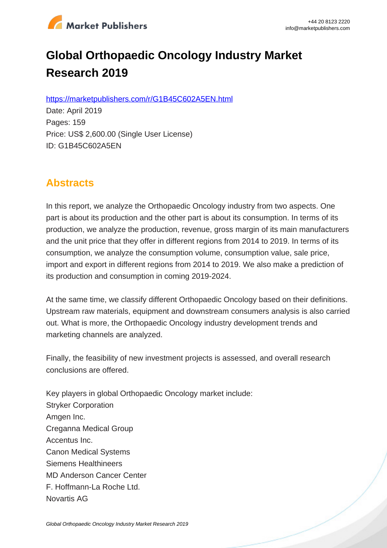

# **Global Orthopaedic Oncology Industry Market Research 2019**

https://marketpublishers.com/r/G1B45C602A5EN.html

Date: April 2019 Pages: 159 Price: US\$ 2,600.00 (Single User License) ID: G1B45C602A5EN

# **Abstracts**

In this report, we analyze the Orthopaedic Oncology industry from two aspects. One part is about its production and the other part is about its consumption. In terms of its production, we analyze the production, revenue, gross margin of its main manufacturers and the unit price that they offer in different regions from 2014 to 2019. In terms of its consumption, we analyze the consumption volume, consumption value, sale price, import and export in different regions from 2014 to 2019. We also make a prediction of its production and consumption in coming 2019-2024.

At the same time, we classify different Orthopaedic Oncology based on their definitions. Upstream raw materials, equipment and downstream consumers analysis is also carried out. What is more, the Orthopaedic Oncology industry development trends and marketing channels are analyzed.

Finally, the feasibility of new investment projects is assessed, and overall research conclusions are offered.

Key players in global Orthopaedic Oncology market include: Stryker Corporation Amgen Inc. Creganna Medical Group Accentus Inc. Canon Medical Systems Siemens Healthineers MD Anderson Cancer Center F. Hoffmann-La Roche Ltd. Novartis AG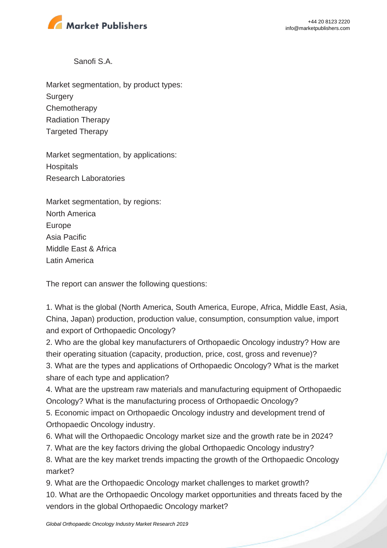

Sanofi S.A.

Market segmentation, by product types: **Surgery Chemotherapy** Radiation Therapy Targeted Therapy

Market segmentation, by applications: **Hospitals** Research Laboratories

Market segmentation, by regions: North America Europe Asia Pacific Middle East & Africa Latin America

The report can answer the following questions:

1. What is the global (North America, South America, Europe, Africa, Middle East, Asia, China, Japan) production, production value, consumption, consumption value, import and export of Orthopaedic Oncology?

2. Who are the global key manufacturers of Orthopaedic Oncology industry? How are their operating situation (capacity, production, price, cost, gross and revenue)? 3. What are the types and applications of Orthopaedic Oncology? What is the market share of each type and application?

4. What are the upstream raw materials and manufacturing equipment of Orthopaedic Oncology? What is the manufacturing process of Orthopaedic Oncology?

5. Economic impact on Orthopaedic Oncology industry and development trend of Orthopaedic Oncology industry.

6. What will the Orthopaedic Oncology market size and the growth rate be in 2024?

7. What are the key factors driving the global Orthopaedic Oncology industry?

8. What are the key market trends impacting the growth of the Orthopaedic Oncology market?

9. What are the Orthopaedic Oncology market challenges to market growth? 10. What are the Orthopaedic Oncology market opportunities and threats faced by the vendors in the global Orthopaedic Oncology market?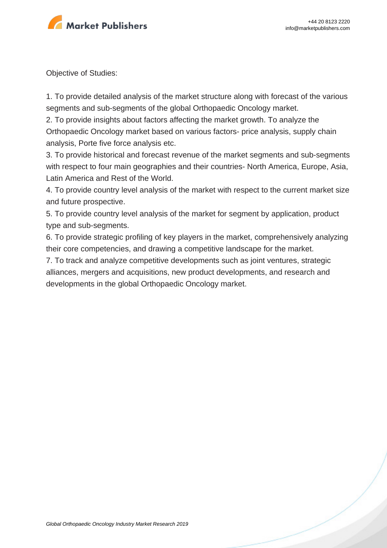

Objective of Studies:

1. To provide detailed analysis of the market structure along with forecast of the various segments and sub-segments of the global Orthopaedic Oncology market.

2. To provide insights about factors affecting the market growth. To analyze the Orthopaedic Oncology market based on various factors- price analysis, supply chain analysis, Porte five force analysis etc.

3. To provide historical and forecast revenue of the market segments and sub-segments with respect to four main geographies and their countries- North America, Europe, Asia, Latin America and Rest of the World.

4. To provide country level analysis of the market with respect to the current market size and future prospective.

5. To provide country level analysis of the market for segment by application, product type and sub-segments.

6. To provide strategic profiling of key players in the market, comprehensively analyzing their core competencies, and drawing a competitive landscape for the market.

7. To track and analyze competitive developments such as joint ventures, strategic alliances, mergers and acquisitions, new product developments, and research and developments in the global Orthopaedic Oncology market.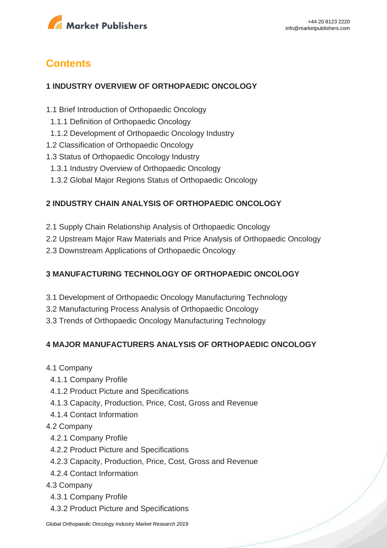

# **Contents**

#### **1 INDUSTRY OVERVIEW OF ORTHOPAEDIC ONCOLOGY**

- 1.1 Brief Introduction of Orthopaedic Oncology
- 1.1.1 Definition of Orthopaedic Oncology
- 1.1.2 Development of Orthopaedic Oncology Industry
- 1.2 Classification of Orthopaedic Oncology
- 1.3 Status of Orthopaedic Oncology Industry
- 1.3.1 Industry Overview of Orthopaedic Oncology
- 1.3.2 Global Major Regions Status of Orthopaedic Oncology

## **2 INDUSTRY CHAIN ANALYSIS OF ORTHOPAEDIC ONCOLOGY**

- 2.1 Supply Chain Relationship Analysis of Orthopaedic Oncology
- 2.2 Upstream Major Raw Materials and Price Analysis of Orthopaedic Oncology
- 2.3 Downstream Applications of Orthopaedic Oncology

### **3 MANUFACTURING TECHNOLOGY OF ORTHOPAEDIC ONCOLOGY**

- 3.1 Development of Orthopaedic Oncology Manufacturing Technology
- 3.2 Manufacturing Process Analysis of Orthopaedic Oncology
- 3.3 Trends of Orthopaedic Oncology Manufacturing Technology

### **4 MAJOR MANUFACTURERS ANALYSIS OF ORTHOPAEDIC ONCOLOGY**

- 4.1 Company
	- 4.1.1 Company Profile
	- 4.1.2 Product Picture and Specifications
	- 4.1.3 Capacity, Production, Price, Cost, Gross and Revenue
	- 4.1.4 Contact Information

#### 4.2 Company

- 4.2.1 Company Profile
- 4.2.2 Product Picture and Specifications
- 4.2.3 Capacity, Production, Price, Cost, Gross and Revenue
- 4.2.4 Contact Information

#### 4.3 Company

- 4.3.1 Company Profile
- 4.3.2 Product Picture and Specifications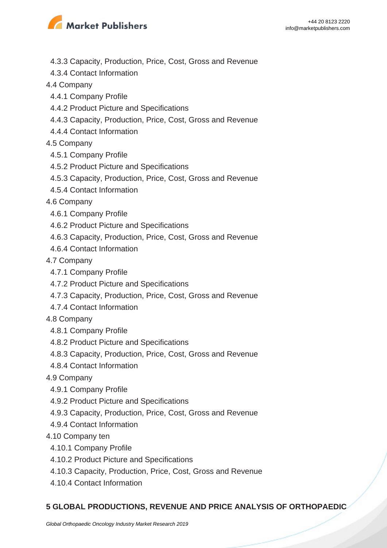

- 4.3.3 Capacity, Production, Price, Cost, Gross and Revenue
- 4.3.4 Contact Information
- 4.4 Company
	- 4.4.1 Company Profile
	- 4.4.2 Product Picture and Specifications
- 4.4.3 Capacity, Production, Price, Cost, Gross and Revenue
- 4.4.4 Contact Information
- 4.5 Company
- 4.5.1 Company Profile
- 4.5.2 Product Picture and Specifications
- 4.5.3 Capacity, Production, Price, Cost, Gross and Revenue
- 4.5.4 Contact Information
- 4.6 Company
	- 4.6.1 Company Profile
	- 4.6.2 Product Picture and Specifications
	- 4.6.3 Capacity, Production, Price, Cost, Gross and Revenue
- 4.6.4 Contact Information
- 4.7 Company
- 4.7.1 Company Profile
- 4.7.2 Product Picture and Specifications
- 4.7.3 Capacity, Production, Price, Cost, Gross and Revenue
- 4.7.4 Contact Information
- 4.8 Company
	- 4.8.1 Company Profile
	- 4.8.2 Product Picture and Specifications
	- 4.8.3 Capacity, Production, Price, Cost, Gross and Revenue
- 4.8.4 Contact Information
- 4.9 Company
	- 4.9.1 Company Profile
	- 4.9.2 Product Picture and Specifications
	- 4.9.3 Capacity, Production, Price, Cost, Gross and Revenue
- 4.9.4 Contact Information
- 4.10 Company ten
	- 4.10.1 Company Profile
	- 4.10.2 Product Picture and Specifications
	- 4.10.3 Capacity, Production, Price, Cost, Gross and Revenue
	- 4.10.4 Contact Information

#### **5 GLOBAL PRODUCTIONS, REVENUE AND PRICE ANALYSIS OF ORTHOPAEDIC**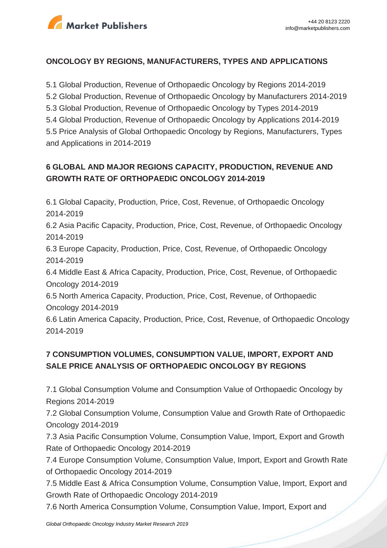

#### **ONCOLOGY BY REGIONS, MANUFACTURERS, TYPES AND APPLICATIONS**

5.1 Global Production, Revenue of Orthopaedic Oncology by Regions 2014-2019 5.2 Global Production, Revenue of Orthopaedic Oncology by Manufacturers 2014-2019 5.3 Global Production, Revenue of Orthopaedic Oncology by Types 2014-2019 5.4 Global Production, Revenue of Orthopaedic Oncology by Applications 2014-2019 5.5 Price Analysis of Global Orthopaedic Oncology by Regions, Manufacturers, Types and Applications in 2014-2019

# **6 GLOBAL AND MAJOR REGIONS CAPACITY, PRODUCTION, REVENUE AND GROWTH RATE OF ORTHOPAEDIC ONCOLOGY 2014-2019**

6.1 Global Capacity, Production, Price, Cost, Revenue, of Orthopaedic Oncology 2014-2019

6.2 Asia Pacific Capacity, Production, Price, Cost, Revenue, of Orthopaedic Oncology 2014-2019

6.3 Europe Capacity, Production, Price, Cost, Revenue, of Orthopaedic Oncology 2014-2019

6.4 Middle East & Africa Capacity, Production, Price, Cost, Revenue, of Orthopaedic Oncology 2014-2019

6.5 North America Capacity, Production, Price, Cost, Revenue, of Orthopaedic Oncology 2014-2019

6.6 Latin America Capacity, Production, Price, Cost, Revenue, of Orthopaedic Oncology 2014-2019

# **7 CONSUMPTION VOLUMES, CONSUMPTION VALUE, IMPORT, EXPORT AND SALE PRICE ANALYSIS OF ORTHOPAEDIC ONCOLOGY BY REGIONS**

7.1 Global Consumption Volume and Consumption Value of Orthopaedic Oncology by Regions 2014-2019

7.2 Global Consumption Volume, Consumption Value and Growth Rate of Orthopaedic Oncology 2014-2019

7.3 Asia Pacific Consumption Volume, Consumption Value, Import, Export and Growth Rate of Orthopaedic Oncology 2014-2019

7.4 Europe Consumption Volume, Consumption Value, Import, Export and Growth Rate of Orthopaedic Oncology 2014-2019

7.5 Middle East & Africa Consumption Volume, Consumption Value, Import, Export and Growth Rate of Orthopaedic Oncology 2014-2019

7.6 North America Consumption Volume, Consumption Value, Import, Export and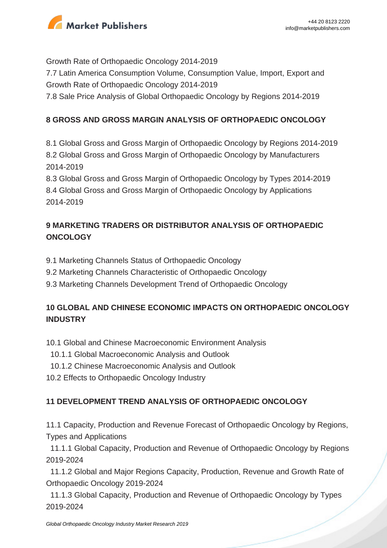

Growth Rate of Orthopaedic Oncology 2014-2019 7.7 Latin America Consumption Volume, Consumption Value, Import, Export and Growth Rate of Orthopaedic Oncology 2014-2019 7.8 Sale Price Analysis of Global Orthopaedic Oncology by Regions 2014-2019

### **8 GROSS AND GROSS MARGIN ANALYSIS OF ORTHOPAEDIC ONCOLOGY**

8.1 Global Gross and Gross Margin of Orthopaedic Oncology by Regions 2014-2019 8.2 Global Gross and Gross Margin of Orthopaedic Oncology by Manufacturers 2014-2019

8.3 Global Gross and Gross Margin of Orthopaedic Oncology by Types 2014-2019 8.4 Global Gross and Gross Margin of Orthopaedic Oncology by Applications 2014-2019

# **9 MARKETING TRADERS OR DISTRIBUTOR ANALYSIS OF ORTHOPAEDIC ONCOLOGY**

- 9.1 Marketing Channels Status of Orthopaedic Oncology
- 9.2 Marketing Channels Characteristic of Orthopaedic Oncology
- 9.3 Marketing Channels Development Trend of Orthopaedic Oncology

# **10 GLOBAL AND CHINESE ECONOMIC IMPACTS ON ORTHOPAEDIC ONCOLOGY INDUSTRY**

10.1 Global and Chinese Macroeconomic Environment Analysis

- 10.1.1 Global Macroeconomic Analysis and Outlook
- 10.1.2 Chinese Macroeconomic Analysis and Outlook
- 10.2 Effects to Orthopaedic Oncology Industry

### **11 DEVELOPMENT TREND ANALYSIS OF ORTHOPAEDIC ONCOLOGY**

11.1 Capacity, Production and Revenue Forecast of Orthopaedic Oncology by Regions, Types and Applications

 11.1.1 Global Capacity, Production and Revenue of Orthopaedic Oncology by Regions 2019-2024

 11.1.2 Global and Major Regions Capacity, Production, Revenue and Growth Rate of Orthopaedic Oncology 2019-2024

 11.1.3 Global Capacity, Production and Revenue of Orthopaedic Oncology by Types 2019-2024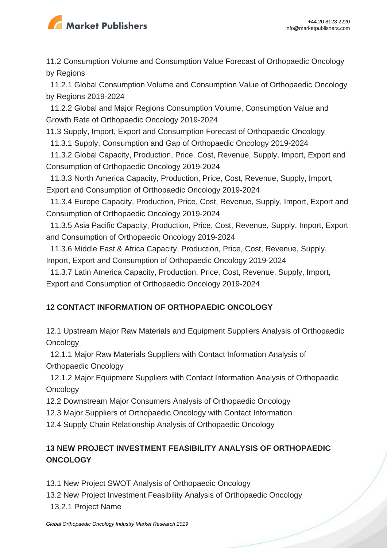

11.2 Consumption Volume and Consumption Value Forecast of Orthopaedic Oncology by Regions

 11.2.1 Global Consumption Volume and Consumption Value of Orthopaedic Oncology by Regions 2019-2024

 11.2.2 Global and Major Regions Consumption Volume, Consumption Value and Growth Rate of Orthopaedic Oncology 2019-2024

11.3 Supply, Import, Export and Consumption Forecast of Orthopaedic Oncology

11.3.1 Supply, Consumption and Gap of Orthopaedic Oncology 2019-2024

 11.3.2 Global Capacity, Production, Price, Cost, Revenue, Supply, Import, Export and Consumption of Orthopaedic Oncology 2019-2024

 11.3.3 North America Capacity, Production, Price, Cost, Revenue, Supply, Import, Export and Consumption of Orthopaedic Oncology 2019-2024

 11.3.4 Europe Capacity, Production, Price, Cost, Revenue, Supply, Import, Export and Consumption of Orthopaedic Oncology 2019-2024

 11.3.5 Asia Pacific Capacity, Production, Price, Cost, Revenue, Supply, Import, Export and Consumption of Orthopaedic Oncology 2019-2024

 11.3.6 Middle East & Africa Capacity, Production, Price, Cost, Revenue, Supply, Import, Export and Consumption of Orthopaedic Oncology 2019-2024

 11.3.7 Latin America Capacity, Production, Price, Cost, Revenue, Supply, Import, Export and Consumption of Orthopaedic Oncology 2019-2024

# **12 CONTACT INFORMATION OF ORTHOPAEDIC ONCOLOGY**

12.1 Upstream Major Raw Materials and Equipment Suppliers Analysis of Orthopaedic **Oncology** 

 12.1.1 Major Raw Materials Suppliers with Contact Information Analysis of Orthopaedic Oncology

 12.1.2 Major Equipment Suppliers with Contact Information Analysis of Orthopaedic **Oncology** 

12.2 Downstream Major Consumers Analysis of Orthopaedic Oncology

12.3 Major Suppliers of Orthopaedic Oncology with Contact Information

12.4 Supply Chain Relationship Analysis of Orthopaedic Oncology

# **13 NEW PROJECT INVESTMENT FEASIBILITY ANALYSIS OF ORTHOPAEDIC ONCOLOGY**

13.1 New Project SWOT Analysis of Orthopaedic Oncology

- 13.2 New Project Investment Feasibility Analysis of Orthopaedic Oncology
- 13.2.1 Project Name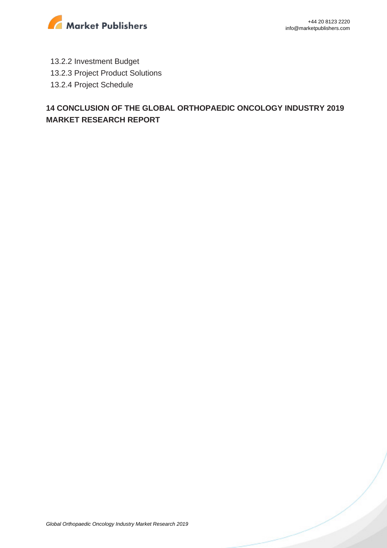

- 13.2.2 Investment Budget
- 13.2.3 Project Product Solutions
- 13.2.4 Project Schedule

# **14 CONCLUSION OF THE GLOBAL ORTHOPAEDIC ONCOLOGY INDUSTRY 2019 MARKET RESEARCH REPORT**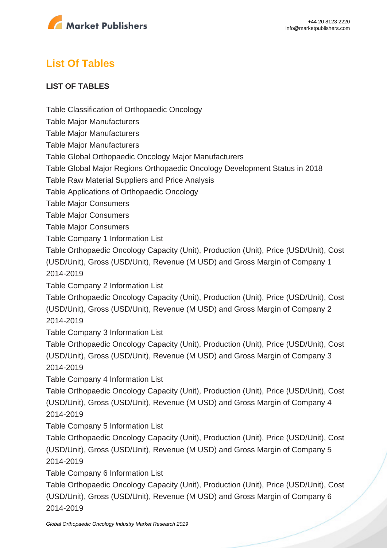

# **List Of Tables**

#### **LIST OF TABLES**

Table Classification of Orthopaedic Oncology

Table Major Manufacturers

Table Major Manufacturers

Table Major Manufacturers

Table Global Orthopaedic Oncology Major Manufacturers

Table Global Major Regions Orthopaedic Oncology Development Status in 2018

Table Raw Material Suppliers and Price Analysis

Table Applications of Orthopaedic Oncology

Table Major Consumers

Table Major Consumers

Table Major Consumers

Table Company 1 Information List

Table Orthopaedic Oncology Capacity (Unit), Production (Unit), Price (USD/Unit), Cost (USD/Unit), Gross (USD/Unit), Revenue (M USD) and Gross Margin of Company 1 2014-2019

Table Company 2 Information List

Table Orthopaedic Oncology Capacity (Unit), Production (Unit), Price (USD/Unit), Cost (USD/Unit), Gross (USD/Unit), Revenue (M USD) and Gross Margin of Company 2 2014-2019

Table Company 3 Information List

Table Orthopaedic Oncology Capacity (Unit), Production (Unit), Price (USD/Unit), Cost (USD/Unit), Gross (USD/Unit), Revenue (M USD) and Gross Margin of Company 3 2014-2019

Table Company 4 Information List

Table Orthopaedic Oncology Capacity (Unit), Production (Unit), Price (USD/Unit), Cost (USD/Unit), Gross (USD/Unit), Revenue (M USD) and Gross Margin of Company 4 2014-2019

Table Company 5 Information List

Table Orthopaedic Oncology Capacity (Unit), Production (Unit), Price (USD/Unit), Cost (USD/Unit), Gross (USD/Unit), Revenue (M USD) and Gross Margin of Company 5 2014-2019

Table Company 6 Information List

Table Orthopaedic Oncology Capacity (Unit), Production (Unit), Price (USD/Unit), Cost (USD/Unit), Gross (USD/Unit), Revenue (M USD) and Gross Margin of Company 6 2014-2019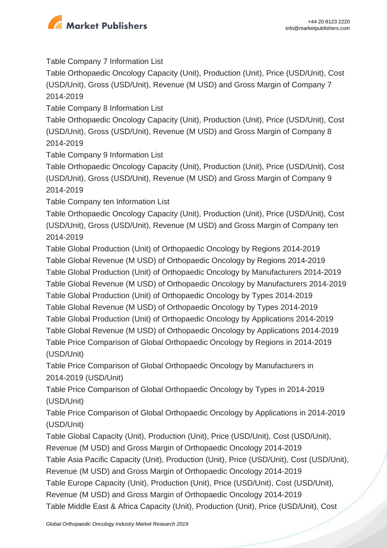

Table Company 7 Information List

Table Orthopaedic Oncology Capacity (Unit), Production (Unit), Price (USD/Unit), Cost (USD/Unit), Gross (USD/Unit), Revenue (M USD) and Gross Margin of Company 7 2014-2019

Table Company 8 Information List

Table Orthopaedic Oncology Capacity (Unit), Production (Unit), Price (USD/Unit), Cost (USD/Unit), Gross (USD/Unit), Revenue (M USD) and Gross Margin of Company 8 2014-2019

Table Company 9 Information List

Table Orthopaedic Oncology Capacity (Unit), Production (Unit), Price (USD/Unit), Cost (USD/Unit), Gross (USD/Unit), Revenue (M USD) and Gross Margin of Company 9 2014-2019

Table Company ten Information List

Table Orthopaedic Oncology Capacity (Unit), Production (Unit), Price (USD/Unit), Cost (USD/Unit), Gross (USD/Unit), Revenue (M USD) and Gross Margin of Company ten 2014-2019

Table Global Production (Unit) of Orthopaedic Oncology by Regions 2014-2019 Table Global Revenue (M USD) of Orthopaedic Oncology by Regions 2014-2019 Table Global Production (Unit) of Orthopaedic Oncology by Manufacturers 2014-2019 Table Global Revenue (M USD) of Orthopaedic Oncology by Manufacturers 2014-2019 Table Global Production (Unit) of Orthopaedic Oncology by Types 2014-2019 Table Global Revenue (M USD) of Orthopaedic Oncology by Types 2014-2019 Table Global Production (Unit) of Orthopaedic Oncology by Applications 2014-2019 Table Global Revenue (M USD) of Orthopaedic Oncology by Applications 2014-2019 Table Price Comparison of Global Orthopaedic Oncology by Regions in 2014-2019 (USD/Unit)

Table Price Comparison of Global Orthopaedic Oncology by Manufacturers in 2014-2019 (USD/Unit)

Table Price Comparison of Global Orthopaedic Oncology by Types in 2014-2019 (USD/Unit)

Table Price Comparison of Global Orthopaedic Oncology by Applications in 2014-2019 (USD/Unit)

Table Global Capacity (Unit), Production (Unit), Price (USD/Unit), Cost (USD/Unit), Revenue (M USD) and Gross Margin of Orthopaedic Oncology 2014-2019 Table Asia Pacific Capacity (Unit), Production (Unit), Price (USD/Unit), Cost (USD/Unit), Revenue (M USD) and Gross Margin of Orthopaedic Oncology 2014-2019 Table Europe Capacity (Unit), Production (Unit), Price (USD/Unit), Cost (USD/Unit), Revenue (M USD) and Gross Margin of Orthopaedic Oncology 2014-2019 Table Middle East & Africa Capacity (Unit), Production (Unit), Price (USD/Unit), Cost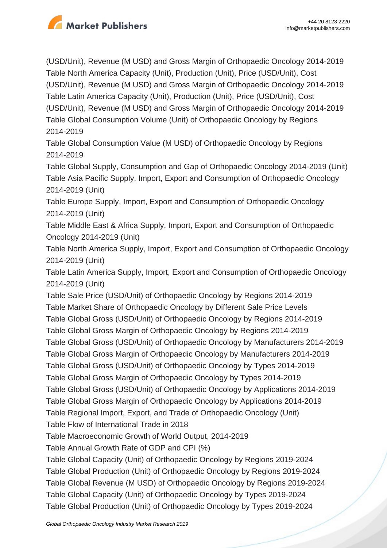

(USD/Unit), Revenue (M USD) and Gross Margin of Orthopaedic Oncology 2014-2019 Table North America Capacity (Unit), Production (Unit), Price (USD/Unit), Cost (USD/Unit), Revenue (M USD) and Gross Margin of Orthopaedic Oncology 2014-2019 Table Latin America Capacity (Unit), Production (Unit), Price (USD/Unit), Cost (USD/Unit), Revenue (M USD) and Gross Margin of Orthopaedic Oncology 2014-2019 Table Global Consumption Volume (Unit) of Orthopaedic Oncology by Regions 2014-2019

Table Global Consumption Value (M USD) of Orthopaedic Oncology by Regions 2014-2019

Table Global Supply, Consumption and Gap of Orthopaedic Oncology 2014-2019 (Unit) Table Asia Pacific Supply, Import, Export and Consumption of Orthopaedic Oncology 2014-2019 (Unit)

Table Europe Supply, Import, Export and Consumption of Orthopaedic Oncology 2014-2019 (Unit)

Table Middle East & Africa Supply, Import, Export and Consumption of Orthopaedic Oncology 2014-2019 (Unit)

Table North America Supply, Import, Export and Consumption of Orthopaedic Oncology 2014-2019 (Unit)

Table Latin America Supply, Import, Export and Consumption of Orthopaedic Oncology 2014-2019 (Unit)

Table Sale Price (USD/Unit) of Orthopaedic Oncology by Regions 2014-2019 Table Market Share of Orthopaedic Oncology by Different Sale Price Levels Table Global Gross (USD/Unit) of Orthopaedic Oncology by Regions 2014-2019 Table Global Gross Margin of Orthopaedic Oncology by Regions 2014-2019 Table Global Gross (USD/Unit) of Orthopaedic Oncology by Manufacturers 2014-2019 Table Global Gross Margin of Orthopaedic Oncology by Manufacturers 2014-2019 Table Global Gross (USD/Unit) of Orthopaedic Oncology by Types 2014-2019 Table Global Gross Margin of Orthopaedic Oncology by Types 2014-2019 Table Global Gross (USD/Unit) of Orthopaedic Oncology by Applications 2014-2019 Table Global Gross Margin of Orthopaedic Oncology by Applications 2014-2019 Table Regional Import, Export, and Trade of Orthopaedic Oncology (Unit) Table Flow of International Trade in 2018 Table Macroeconomic Growth of World Output, 2014-2019 Table Annual Growth Rate of GDP and CPI (%) Table Global Capacity (Unit) of Orthopaedic Oncology by Regions 2019-2024 Table Global Production (Unit) of Orthopaedic Oncology by Regions 2019-2024 Table Global Revenue (M USD) of Orthopaedic Oncology by Regions 2019-2024 Table Global Capacity (Unit) of Orthopaedic Oncology by Types 2019-2024 Table Global Production (Unit) of Orthopaedic Oncology by Types 2019-2024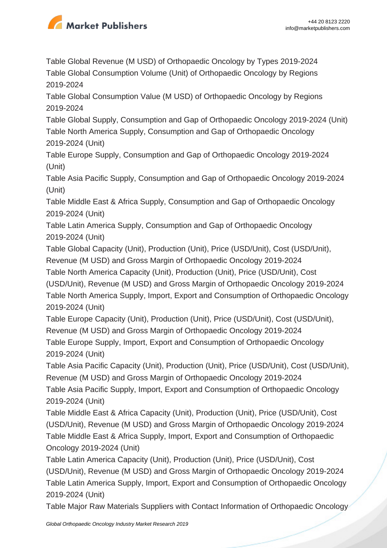

Table Global Revenue (M USD) of Orthopaedic Oncology by Types 2019-2024 Table Global Consumption Volume (Unit) of Orthopaedic Oncology by Regions 2019-2024

Table Global Consumption Value (M USD) of Orthopaedic Oncology by Regions 2019-2024

Table Global Supply, Consumption and Gap of Orthopaedic Oncology 2019-2024 (Unit) Table North America Supply, Consumption and Gap of Orthopaedic Oncology 2019-2024 (Unit)

Table Europe Supply, Consumption and Gap of Orthopaedic Oncology 2019-2024 (Unit)

Table Asia Pacific Supply, Consumption and Gap of Orthopaedic Oncology 2019-2024 (Unit)

Table Middle East & Africa Supply, Consumption and Gap of Orthopaedic Oncology 2019-2024 (Unit)

Table Latin America Supply, Consumption and Gap of Orthopaedic Oncology 2019-2024 (Unit)

Table Global Capacity (Unit), Production (Unit), Price (USD/Unit), Cost (USD/Unit), Revenue (M USD) and Gross Margin of Orthopaedic Oncology 2019-2024

Table North America Capacity (Unit), Production (Unit), Price (USD/Unit), Cost (USD/Unit), Revenue (M USD) and Gross Margin of Orthopaedic Oncology 2019-2024 Table North America Supply, Import, Export and Consumption of Orthopaedic Oncology 2019-2024 (Unit)

Table Europe Capacity (Unit), Production (Unit), Price (USD/Unit), Cost (USD/Unit), Revenue (M USD) and Gross Margin of Orthopaedic Oncology 2019-2024 Table Europe Supply, Import, Export and Consumption of Orthopaedic Oncology 2019-2024 (Unit)

Table Asia Pacific Capacity (Unit), Production (Unit), Price (USD/Unit), Cost (USD/Unit), Revenue (M USD) and Gross Margin of Orthopaedic Oncology 2019-2024 Table Asia Pacific Supply, Import, Export and Consumption of Orthopaedic Oncology 2019-2024 (Unit)

Table Middle East & Africa Capacity (Unit), Production (Unit), Price (USD/Unit), Cost (USD/Unit), Revenue (M USD) and Gross Margin of Orthopaedic Oncology 2019-2024 Table Middle East & Africa Supply, Import, Export and Consumption of Orthopaedic Oncology 2019-2024 (Unit)

Table Latin America Capacity (Unit), Production (Unit), Price (USD/Unit), Cost (USD/Unit), Revenue (M USD) and Gross Margin of Orthopaedic Oncology 2019-2024 Table Latin America Supply, Import, Export and Consumption of Orthopaedic Oncology 2019-2024 (Unit)

Table Major Raw Materials Suppliers with Contact Information of Orthopaedic Oncology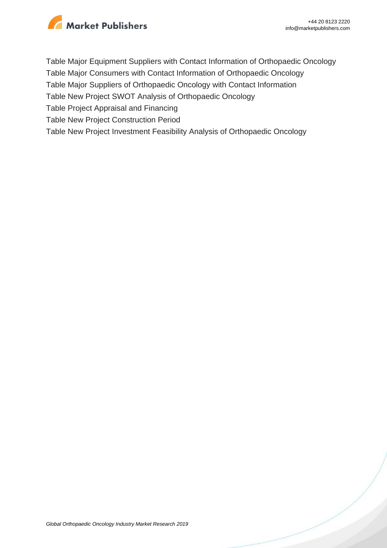

Table Major Equipment Suppliers with Contact Information of Orthopaedic Oncology

Table Major Consumers with Contact Information of Orthopaedic Oncology

Table Major Suppliers of Orthopaedic Oncology with Contact Information

Table New Project SWOT Analysis of Orthopaedic Oncology

Table Project Appraisal and Financing

Table New Project Construction Period

Table New Project Investment Feasibility Analysis of Orthopaedic Oncology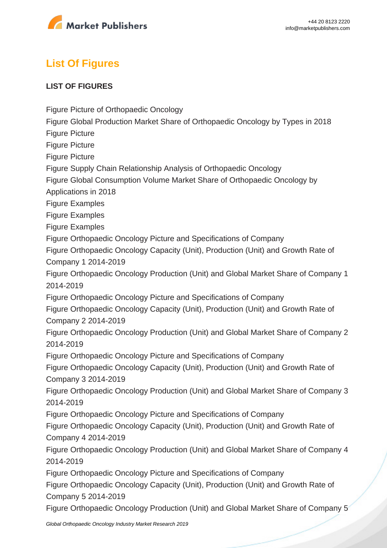

# **List Of Figures**

#### **LIST OF FIGURES**

Figure Picture of Orthopaedic Oncology

Figure Global Production Market Share of Orthopaedic Oncology by Types in 2018

Figure Picture

Figure Picture

Figure Picture

Figure Supply Chain Relationship Analysis of Orthopaedic Oncology

Figure Global Consumption Volume Market Share of Orthopaedic Oncology by

Applications in 2018

Figure Examples

Figure Examples

Figure Examples

Figure Orthopaedic Oncology Picture and Specifications of Company

Figure Orthopaedic Oncology Capacity (Unit), Production (Unit) and Growth Rate of Company 1 2014-2019

Figure Orthopaedic Oncology Production (Unit) and Global Market Share of Company 1 2014-2019

Figure Orthopaedic Oncology Picture and Specifications of Company

Figure Orthopaedic Oncology Capacity (Unit), Production (Unit) and Growth Rate of Company 2 2014-2019

Figure Orthopaedic Oncology Production (Unit) and Global Market Share of Company 2 2014-2019

Figure Orthopaedic Oncology Picture and Specifications of Company

Figure Orthopaedic Oncology Capacity (Unit), Production (Unit) and Growth Rate of Company 3 2014-2019

Figure Orthopaedic Oncology Production (Unit) and Global Market Share of Company 3 2014-2019

Figure Orthopaedic Oncology Picture and Specifications of Company

Figure Orthopaedic Oncology Capacity (Unit), Production (Unit) and Growth Rate of Company 4 2014-2019

Figure Orthopaedic Oncology Production (Unit) and Global Market Share of Company 4 2014-2019

Figure Orthopaedic Oncology Picture and Specifications of Company

Figure Orthopaedic Oncology Capacity (Unit), Production (Unit) and Growth Rate of Company 5 2014-2019

Figure Orthopaedic Oncology Production (Unit) and Global Market Share of Company 5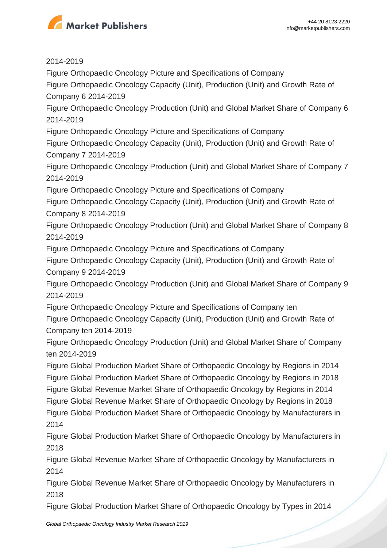

2014-2019

Figure Orthopaedic Oncology Picture and Specifications of Company

Figure Orthopaedic Oncology Capacity (Unit), Production (Unit) and Growth Rate of Company 6 2014-2019

Figure Orthopaedic Oncology Production (Unit) and Global Market Share of Company 6 2014-2019

Figure Orthopaedic Oncology Picture and Specifications of Company

Figure Orthopaedic Oncology Capacity (Unit), Production (Unit) and Growth Rate of Company 7 2014-2019

Figure Orthopaedic Oncology Production (Unit) and Global Market Share of Company 7 2014-2019

Figure Orthopaedic Oncology Picture and Specifications of Company

Figure Orthopaedic Oncology Capacity (Unit), Production (Unit) and Growth Rate of Company 8 2014-2019

Figure Orthopaedic Oncology Production (Unit) and Global Market Share of Company 8 2014-2019

Figure Orthopaedic Oncology Picture and Specifications of Company

Figure Orthopaedic Oncology Capacity (Unit), Production (Unit) and Growth Rate of Company 9 2014-2019

Figure Orthopaedic Oncology Production (Unit) and Global Market Share of Company 9 2014-2019

Figure Orthopaedic Oncology Picture and Specifications of Company ten

Figure Orthopaedic Oncology Capacity (Unit), Production (Unit) and Growth Rate of Company ten 2014-2019

Figure Orthopaedic Oncology Production (Unit) and Global Market Share of Company ten 2014-2019

Figure Global Production Market Share of Orthopaedic Oncology by Regions in 2014 Figure Global Production Market Share of Orthopaedic Oncology by Regions in 2018 Figure Global Revenue Market Share of Orthopaedic Oncology by Regions in 2014 Figure Global Revenue Market Share of Orthopaedic Oncology by Regions in 2018 Figure Global Production Market Share of Orthopaedic Oncology by Manufacturers in 2014

Figure Global Production Market Share of Orthopaedic Oncology by Manufacturers in 2018

Figure Global Revenue Market Share of Orthopaedic Oncology by Manufacturers in 2014

Figure Global Revenue Market Share of Orthopaedic Oncology by Manufacturers in 2018

Figure Global Production Market Share of Orthopaedic Oncology by Types in 2014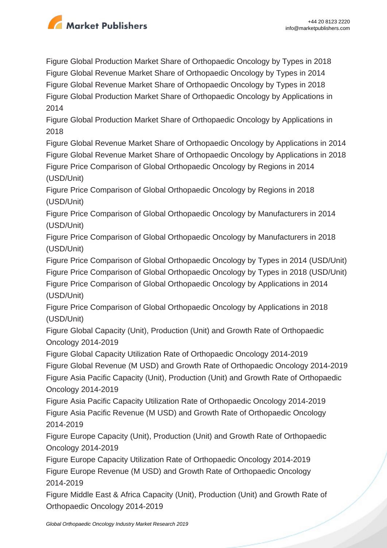

Figure Global Production Market Share of Orthopaedic Oncology by Types in 2018 Figure Global Revenue Market Share of Orthopaedic Oncology by Types in 2014 Figure Global Revenue Market Share of Orthopaedic Oncology by Types in 2018 Figure Global Production Market Share of Orthopaedic Oncology by Applications in 2014

Figure Global Production Market Share of Orthopaedic Oncology by Applications in 2018

Figure Global Revenue Market Share of Orthopaedic Oncology by Applications in 2014 Figure Global Revenue Market Share of Orthopaedic Oncology by Applications in 2018 Figure Price Comparison of Global Orthopaedic Oncology by Regions in 2014 (USD/Unit)

Figure Price Comparison of Global Orthopaedic Oncology by Regions in 2018 (USD/Unit)

Figure Price Comparison of Global Orthopaedic Oncology by Manufacturers in 2014 (USD/Unit)

Figure Price Comparison of Global Orthopaedic Oncology by Manufacturers in 2018 (USD/Unit)

Figure Price Comparison of Global Orthopaedic Oncology by Types in 2014 (USD/Unit) Figure Price Comparison of Global Orthopaedic Oncology by Types in 2018 (USD/Unit) Figure Price Comparison of Global Orthopaedic Oncology by Applications in 2014 (USD/Unit)

Figure Price Comparison of Global Orthopaedic Oncology by Applications in 2018 (USD/Unit)

Figure Global Capacity (Unit), Production (Unit) and Growth Rate of Orthopaedic Oncology 2014-2019

Figure Global Capacity Utilization Rate of Orthopaedic Oncology 2014-2019 Figure Global Revenue (M USD) and Growth Rate of Orthopaedic Oncology 2014-2019 Figure Asia Pacific Capacity (Unit), Production (Unit) and Growth Rate of Orthopaedic Oncology 2014-2019

Figure Asia Pacific Capacity Utilization Rate of Orthopaedic Oncology 2014-2019 Figure Asia Pacific Revenue (M USD) and Growth Rate of Orthopaedic Oncology 2014-2019

Figure Europe Capacity (Unit), Production (Unit) and Growth Rate of Orthopaedic Oncology 2014-2019

Figure Europe Capacity Utilization Rate of Orthopaedic Oncology 2014-2019 Figure Europe Revenue (M USD) and Growth Rate of Orthopaedic Oncology 2014-2019

Figure Middle East & Africa Capacity (Unit), Production (Unit) and Growth Rate of Orthopaedic Oncology 2014-2019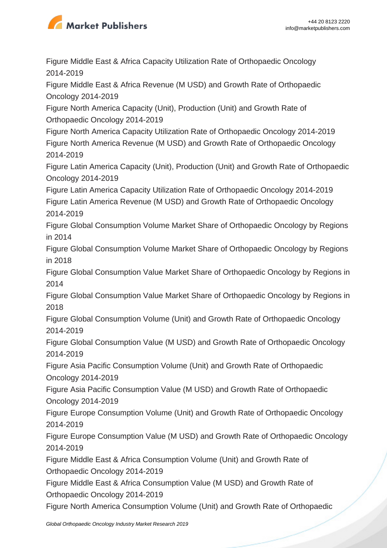

Figure Middle East & Africa Capacity Utilization Rate of Orthopaedic Oncology 2014-2019

Figure Middle East & Africa Revenue (M USD) and Growth Rate of Orthopaedic Oncology 2014-2019

Figure North America Capacity (Unit), Production (Unit) and Growth Rate of Orthopaedic Oncology 2014-2019

Figure North America Capacity Utilization Rate of Orthopaedic Oncology 2014-2019 Figure North America Revenue (M USD) and Growth Rate of Orthopaedic Oncology 2014-2019

Figure Latin America Capacity (Unit), Production (Unit) and Growth Rate of Orthopaedic Oncology 2014-2019

Figure Latin America Capacity Utilization Rate of Orthopaedic Oncology 2014-2019 Figure Latin America Revenue (M USD) and Growth Rate of Orthopaedic Oncology 2014-2019

Figure Global Consumption Volume Market Share of Orthopaedic Oncology by Regions in 2014

Figure Global Consumption Volume Market Share of Orthopaedic Oncology by Regions in 2018

Figure Global Consumption Value Market Share of Orthopaedic Oncology by Regions in 2014

Figure Global Consumption Value Market Share of Orthopaedic Oncology by Regions in 2018

Figure Global Consumption Volume (Unit) and Growth Rate of Orthopaedic Oncology 2014-2019

Figure Global Consumption Value (M USD) and Growth Rate of Orthopaedic Oncology 2014-2019

Figure Asia Pacific Consumption Volume (Unit) and Growth Rate of Orthopaedic Oncology 2014-2019

Figure Asia Pacific Consumption Value (M USD) and Growth Rate of Orthopaedic Oncology 2014-2019

Figure Europe Consumption Volume (Unit) and Growth Rate of Orthopaedic Oncology 2014-2019

Figure Europe Consumption Value (M USD) and Growth Rate of Orthopaedic Oncology 2014-2019

Figure Middle East & Africa Consumption Volume (Unit) and Growth Rate of Orthopaedic Oncology 2014-2019

Figure Middle East & Africa Consumption Value (M USD) and Growth Rate of Orthopaedic Oncology 2014-2019

Figure North America Consumption Volume (Unit) and Growth Rate of Orthopaedic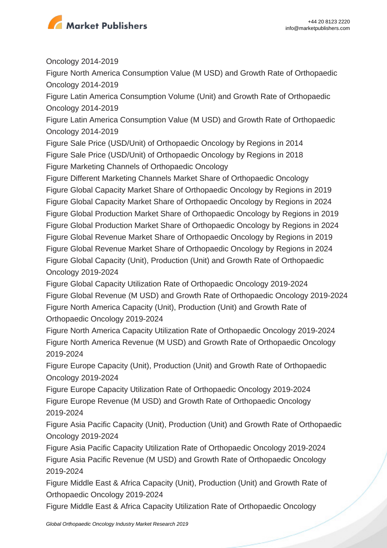

Oncology 2014-2019

Figure North America Consumption Value (M USD) and Growth Rate of Orthopaedic Oncology 2014-2019

Figure Latin America Consumption Volume (Unit) and Growth Rate of Orthopaedic Oncology 2014-2019

Figure Latin America Consumption Value (M USD) and Growth Rate of Orthopaedic Oncology 2014-2019

Figure Sale Price (USD/Unit) of Orthopaedic Oncology by Regions in 2014 Figure Sale Price (USD/Unit) of Orthopaedic Oncology by Regions in 2018 Figure Marketing Channels of Orthopaedic Oncology

Figure Different Marketing Channels Market Share of Orthopaedic Oncology Figure Global Capacity Market Share of Orthopaedic Oncology by Regions in 2019 Figure Global Capacity Market Share of Orthopaedic Oncology by Regions in 2024 Figure Global Production Market Share of Orthopaedic Oncology by Regions in 2019 Figure Global Production Market Share of Orthopaedic Oncology by Regions in 2024 Figure Global Revenue Market Share of Orthopaedic Oncology by Regions in 2019 Figure Global Revenue Market Share of Orthopaedic Oncology by Regions in 2024 Figure Global Capacity (Unit), Production (Unit) and Growth Rate of Orthopaedic Oncology 2019-2024

Figure Global Capacity Utilization Rate of Orthopaedic Oncology 2019-2024 Figure Global Revenue (M USD) and Growth Rate of Orthopaedic Oncology 2019-2024 Figure North America Capacity (Unit), Production (Unit) and Growth Rate of Orthopaedic Oncology 2019-2024

Figure North America Capacity Utilization Rate of Orthopaedic Oncology 2019-2024 Figure North America Revenue (M USD) and Growth Rate of Orthopaedic Oncology 2019-2024

Figure Europe Capacity (Unit), Production (Unit) and Growth Rate of Orthopaedic Oncology 2019-2024

Figure Europe Capacity Utilization Rate of Orthopaedic Oncology 2019-2024 Figure Europe Revenue (M USD) and Growth Rate of Orthopaedic Oncology 2019-2024

Figure Asia Pacific Capacity (Unit), Production (Unit) and Growth Rate of Orthopaedic Oncology 2019-2024

Figure Asia Pacific Capacity Utilization Rate of Orthopaedic Oncology 2019-2024 Figure Asia Pacific Revenue (M USD) and Growth Rate of Orthopaedic Oncology 2019-2024

Figure Middle East & Africa Capacity (Unit), Production (Unit) and Growth Rate of Orthopaedic Oncology 2019-2024

Figure Middle East & Africa Capacity Utilization Rate of Orthopaedic Oncology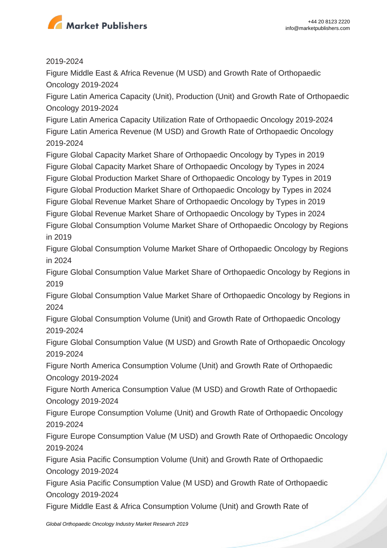

#### 2019-2024

Figure Middle East & Africa Revenue (M USD) and Growth Rate of Orthopaedic Oncology 2019-2024

Figure Latin America Capacity (Unit), Production (Unit) and Growth Rate of Orthopaedic Oncology 2019-2024

Figure Latin America Capacity Utilization Rate of Orthopaedic Oncology 2019-2024 Figure Latin America Revenue (M USD) and Growth Rate of Orthopaedic Oncology 2019-2024

Figure Global Capacity Market Share of Orthopaedic Oncology by Types in 2019 Figure Global Capacity Market Share of Orthopaedic Oncology by Types in 2024 Figure Global Production Market Share of Orthopaedic Oncology by Types in 2019 Figure Global Production Market Share of Orthopaedic Oncology by Types in 2024 Figure Global Revenue Market Share of Orthopaedic Oncology by Types in 2019 Figure Global Revenue Market Share of Orthopaedic Oncology by Types in 2024

Figure Global Consumption Volume Market Share of Orthopaedic Oncology by Regions in 2019

Figure Global Consumption Volume Market Share of Orthopaedic Oncology by Regions in 2024

Figure Global Consumption Value Market Share of Orthopaedic Oncology by Regions in 2019

Figure Global Consumption Value Market Share of Orthopaedic Oncology by Regions in 2024

Figure Global Consumption Volume (Unit) and Growth Rate of Orthopaedic Oncology 2019-2024

Figure Global Consumption Value (M USD) and Growth Rate of Orthopaedic Oncology 2019-2024

Figure North America Consumption Volume (Unit) and Growth Rate of Orthopaedic Oncology 2019-2024

Figure North America Consumption Value (M USD) and Growth Rate of Orthopaedic Oncology 2019-2024

Figure Europe Consumption Volume (Unit) and Growth Rate of Orthopaedic Oncology 2019-2024

Figure Europe Consumption Value (M USD) and Growth Rate of Orthopaedic Oncology 2019-2024

Figure Asia Pacific Consumption Volume (Unit) and Growth Rate of Orthopaedic Oncology 2019-2024

Figure Asia Pacific Consumption Value (M USD) and Growth Rate of Orthopaedic Oncology 2019-2024

Figure Middle East & Africa Consumption Volume (Unit) and Growth Rate of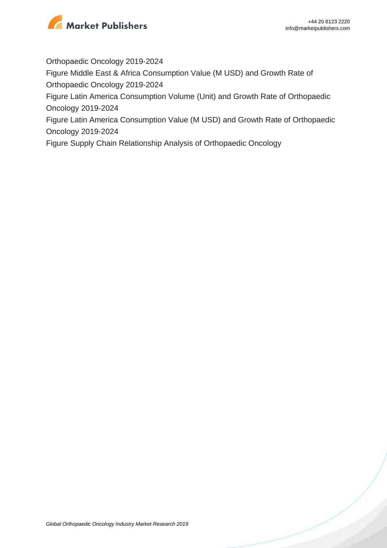

Orthopaedic Oncology 2019-2024

Figure Middle East & Africa Consumption Value (M USD) and Growth Rate of Orthopaedic Oncology 2019-2024

Figure Latin America Consumption Volume (Unit) and Growth Rate of Orthopaedic Oncology 2019-2024

Figure Latin America Consumption Value (M USD) and Growth Rate of Orthopaedic Oncology 2019-2024

Figure Supply Chain Relationship Analysis of Orthopaedic Oncology